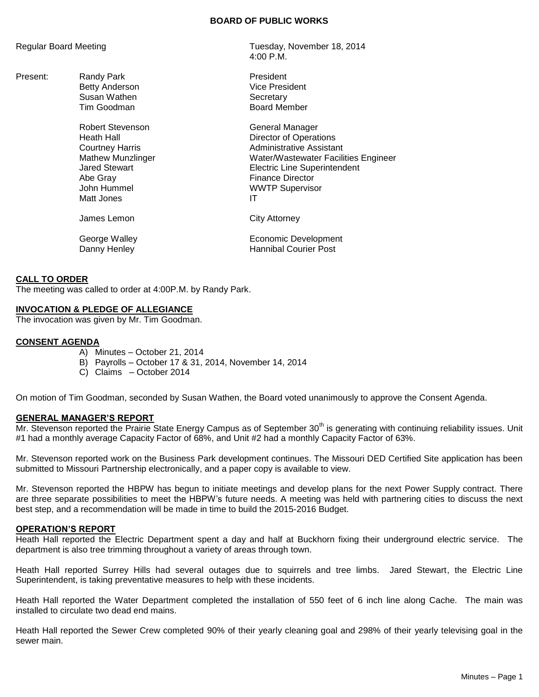### **BOARD OF PUBLIC WORKS**

4:00 P.M.

Regular Board Meeting Tuesday, November 18, 2014

Present: Randy Park **President** Betty Anderson Vice President Susan Wathen Susan Wathen<br>
Tim Goodman Secretary<br>
Secretary
Susan Mercury **Board Member** Robert Stevenson General Manager Heath Hall Director of Operations Courtney Harris **Administrative Assistant** Mathew Munzlinger Water/Wastewater Facilities Engineer Jared Stewart Electric Line Superintendent Abe Gray **Finance Director** John Hummel WWTP Supervisor Matt Jones **IT** James Lemon City Attorney George Walley **Example 20** Economic Development Danny Henley **Hannibal Courier Post** 

### **CALL TO ORDER**

The meeting was called to order at 4:00P.M. by Randy Park.

## **INVOCATION & PLEDGE OF ALLEGIANCE**

The invocation was given by Mr. Tim Goodman.

#### **CONSENT AGENDA**

- A) Minutes October 21, 2014
- B) Payrolls October 17 & 31, 2014, November 14, 2014
- C) Claims October 2014

On motion of Tim Goodman, seconded by Susan Wathen, the Board voted unanimously to approve the Consent Agenda.

#### **GENERAL MANAGER'S REPORT**

Mr. Stevenson reported the Prairie State Energy Campus as of September 30<sup>th</sup> is generating with continuing reliability issues. Unit #1 had a monthly average Capacity Factor of 68%, and Unit #2 had a monthly Capacity Factor of 63%.

Mr. Stevenson reported work on the Business Park development continues. The Missouri DED Certified Site application has been submitted to Missouri Partnership electronically, and a paper copy is available to view.

Mr. Stevenson reported the HBPW has begun to initiate meetings and develop plans for the next Power Supply contract. There are three separate possibilities to meet the HBPW's future needs. A meeting was held with partnering cities to discuss the next best step, and a recommendation will be made in time to build the 2015-2016 Budget.

#### **OPERATION'S REPORT**

Heath Hall reported the Electric Department spent a day and half at Buckhorn fixing their underground electric service. The department is also tree trimming throughout a variety of areas through town.

Heath Hall reported Surrey Hills had several outages due to squirrels and tree limbs. Jared Stewart, the Electric Line Superintendent, is taking preventative measures to help with these incidents.

Heath Hall reported the Water Department completed the installation of 550 feet of 6 inch line along Cache. The main was installed to circulate two dead end mains.

Heath Hall reported the Sewer Crew completed 90% of their yearly cleaning goal and 298% of their yearly televising goal in the sewer main.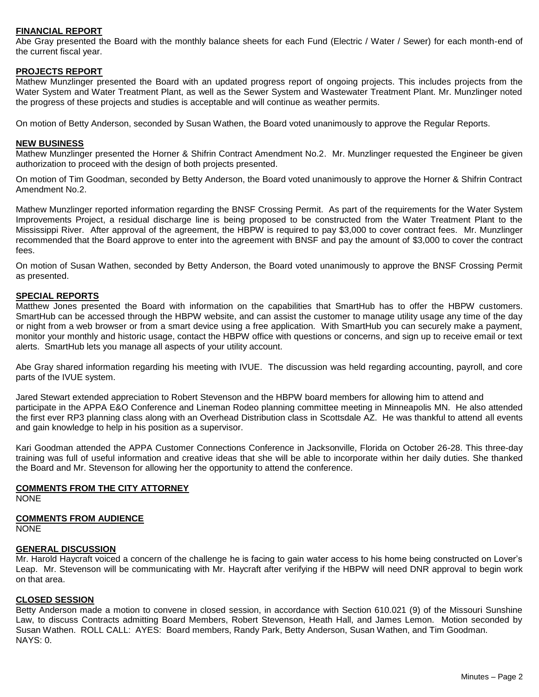## **FINANCIAL REPORT**

Abe Gray presented the Board with the monthly balance sheets for each Fund (Electric / Water / Sewer) for each month‐end of the current fiscal year.

## **PROJECTS REPORT**

Mathew Munzlinger presented the Board with an updated progress report of ongoing projects. This includes projects from the Water System and Water Treatment Plant, as well as the Sewer System and Wastewater Treatment Plant. Mr. Munzlinger noted the progress of these projects and studies is acceptable and will continue as weather permits.

On motion of Betty Anderson, seconded by Susan Wathen, the Board voted unanimously to approve the Regular Reports.

#### **NEW BUSINESS**

Mathew Munzlinger presented the Horner & Shifrin Contract Amendment No.2. Mr. Munzlinger requested the Engineer be given authorization to proceed with the design of both projects presented.

On motion of Tim Goodman, seconded by Betty Anderson, the Board voted unanimously to approve the Horner & Shifrin Contract Amendment No.2.

Mathew Munzlinger reported information regarding the BNSF Crossing Permit. As part of the requirements for the Water System Improvements Project, a residual discharge line is being proposed to be constructed from the Water Treatment Plant to the Mississippi River. After approval of the agreement, the HBPW is required to pay \$3,000 to cover contract fees. Mr. Munzlinger recommended that the Board approve to enter into the agreement with BNSF and pay the amount of \$3,000 to cover the contract fees.

On motion of Susan Wathen, seconded by Betty Anderson, the Board voted unanimously to approve the BNSF Crossing Permit as presented.

## **SPECIAL REPORTS**

Matthew Jones presented the Board with information on the capabilities that SmartHub has to offer the HBPW customers. SmartHub can be accessed through the HBPW website, and can assist the customer to manage utility usage any time of the day or night from a web browser or from a smart device using a free application. With SmartHub you can securely make a payment, monitor your monthly and historic usage, contact the HBPW office with questions or concerns, and sign up to receive email or text alerts. SmartHub lets you manage all aspects of your utility account.

Abe Gray shared information regarding his meeting with IVUE. The discussion was held regarding accounting, payroll, and core parts of the IVUE system.

Jared Stewart extended appreciation to Robert Stevenson and the HBPW board members for allowing him to attend and participate in the APPA E&O Conference and Lineman Rodeo planning committee meeting in Minneapolis MN. He also attended the first ever RP3 planning class along with an Overhead Distribution class in Scottsdale AZ. He was thankful to attend all events and gain knowledge to help in his position as a supervisor.

Kari Goodman attended the APPA Customer Connections Conference in Jacksonville, Florida on October 26-28. This three-day training was full of useful information and creative ideas that she will be able to incorporate within her daily duties. She thanked the Board and Mr. Stevenson for allowing her the opportunity to attend the conference.

#### **COMMENTS FROM THE CITY ATTORNEY**

**NONE** 

## **COMMENTS FROM AUDIENCE**

NONE

#### **GENERAL DISCUSSION**

Mr. Harold Haycraft voiced a concern of the challenge he is facing to gain water access to his home being constructed on Lover's Leap. Mr. Stevenson will be communicating with Mr. Haycraft after verifying if the HBPW will need DNR approval to begin work on that area.

## **CLOSED SESSION**

Betty Anderson made a motion to convene in closed session, in accordance with Section 610.021 (9) of the Missouri Sunshine Law, to discuss Contracts admitting Board Members, Robert Stevenson, Heath Hall, and James Lemon. Motion seconded by Susan Wathen. ROLL CALL: AYES: Board members, Randy Park, Betty Anderson, Susan Wathen, and Tim Goodman. NAYS: 0.